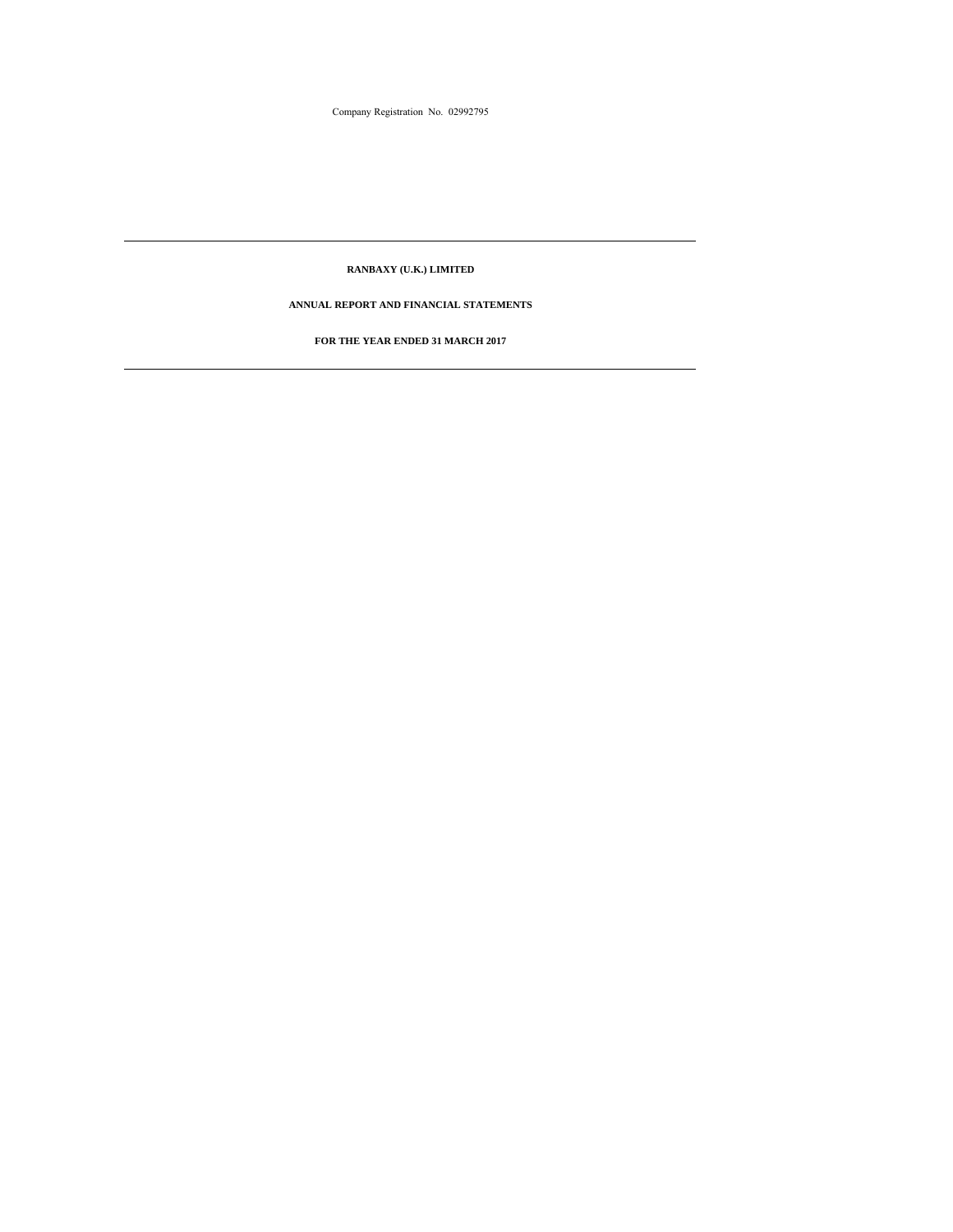Company Registration No. 02992795

**RANBAXY (U.K.) LIMITED**

**ANNUAL REPORT AND FINANCIAL STATEMENTS**

**FOR THE YEAR ENDED 31 MARCH 2017**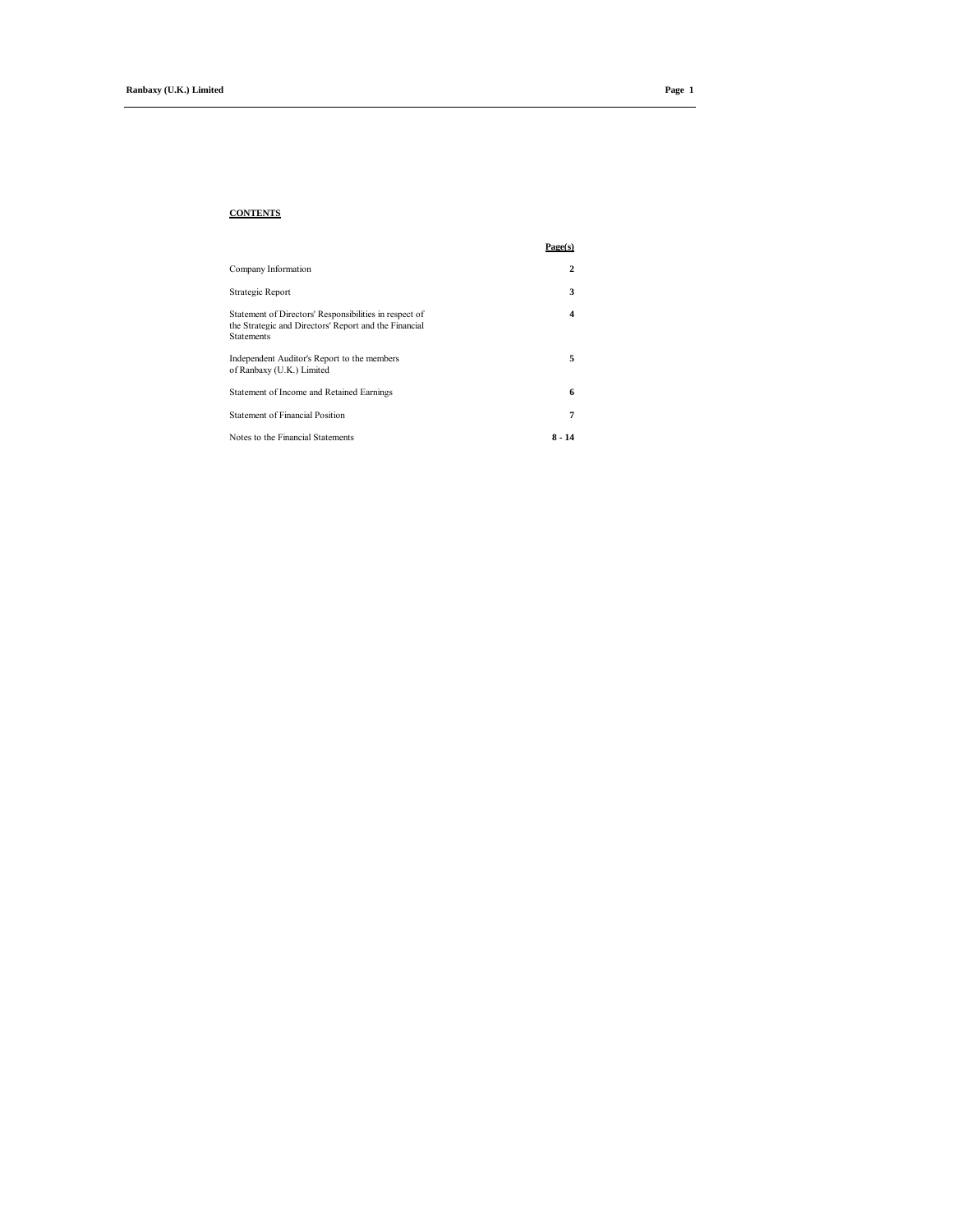## **CONTENTS**

|                                                                                                                                      | Page(s)        |
|--------------------------------------------------------------------------------------------------------------------------------------|----------------|
| Company Information                                                                                                                  | $\overline{2}$ |
| Strategic Report                                                                                                                     | 3              |
| Statement of Directors' Responsibilities in respect of<br>the Strategic and Directors' Report and the Financial<br><b>Statements</b> | 4              |
| Independent Auditor's Report to the members<br>of Ranbaxy (U.K.) Limited                                                             | 5              |
| Statement of Income and Retained Earnings                                                                                            | 6              |
| Statement of Financial Position                                                                                                      | 7              |
| Notes to the Financial Statements                                                                                                    | $8 - 14$       |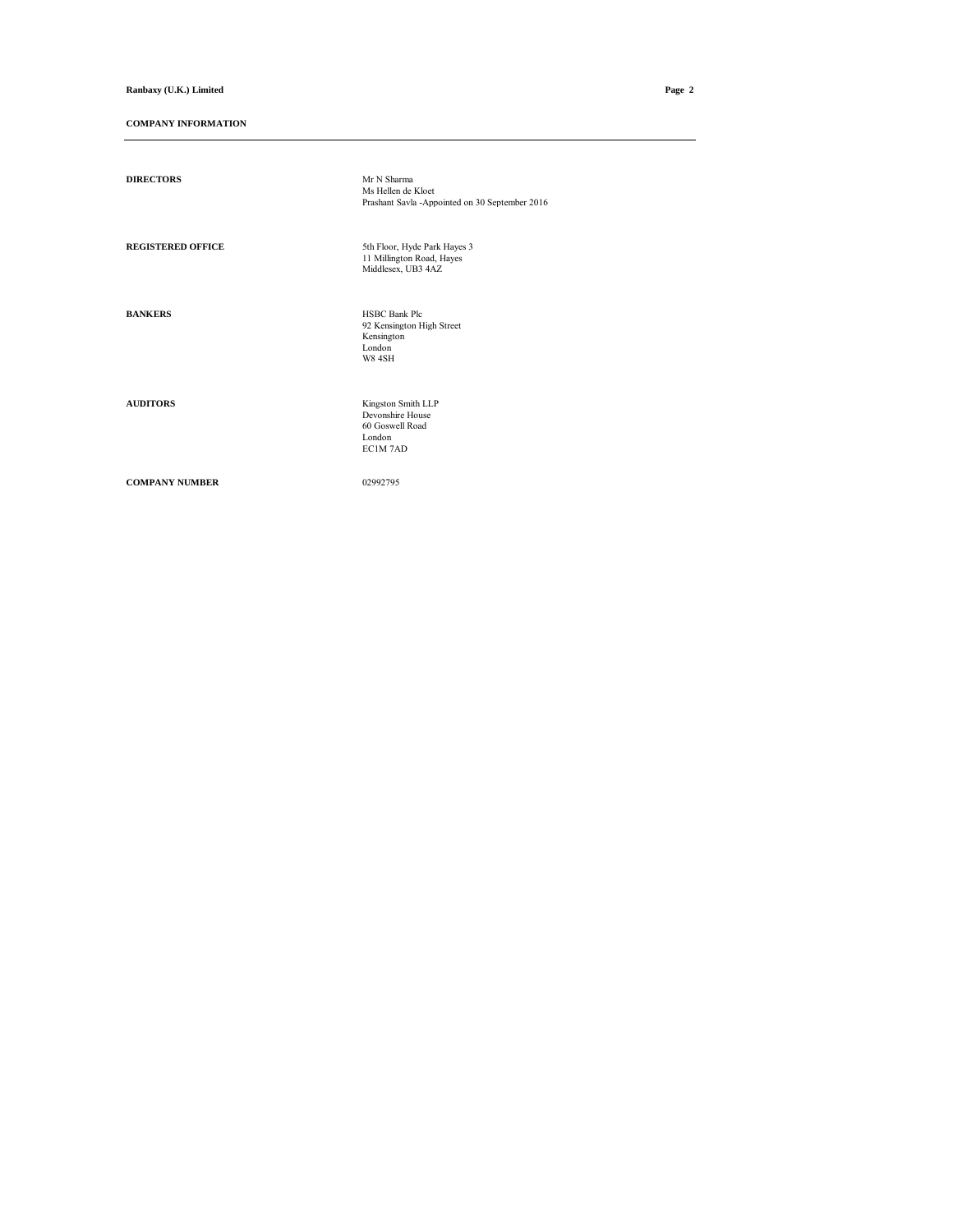**COMPANY INFORMATION**

| <b>DIRECTORS</b>         | Mr N Sharma<br>Ms Hellen de Kloet<br>Prashant Savla - Appointed on 30 September 2016       |
|--------------------------|--------------------------------------------------------------------------------------------|
| <b>REGISTERED OFFICE</b> | 5th Floor, Hyde Park Hayes 3<br>11 Millington Road, Hayes<br>Middlesex, UB3 4AZ            |
| <b>BANKERS</b>           | <b>HSBC Bank Plc</b><br>92 Kensington High Street<br>Kensington<br>London<br><b>W8 4SH</b> |
| <b>AUDITORS</b>          | Kingston Smith LLP<br>Devonshire House<br>60 Goswell Road<br>London<br>EC1M7AD             |
| <b>COMPANY NUMBER</b>    | 02992795                                                                                   |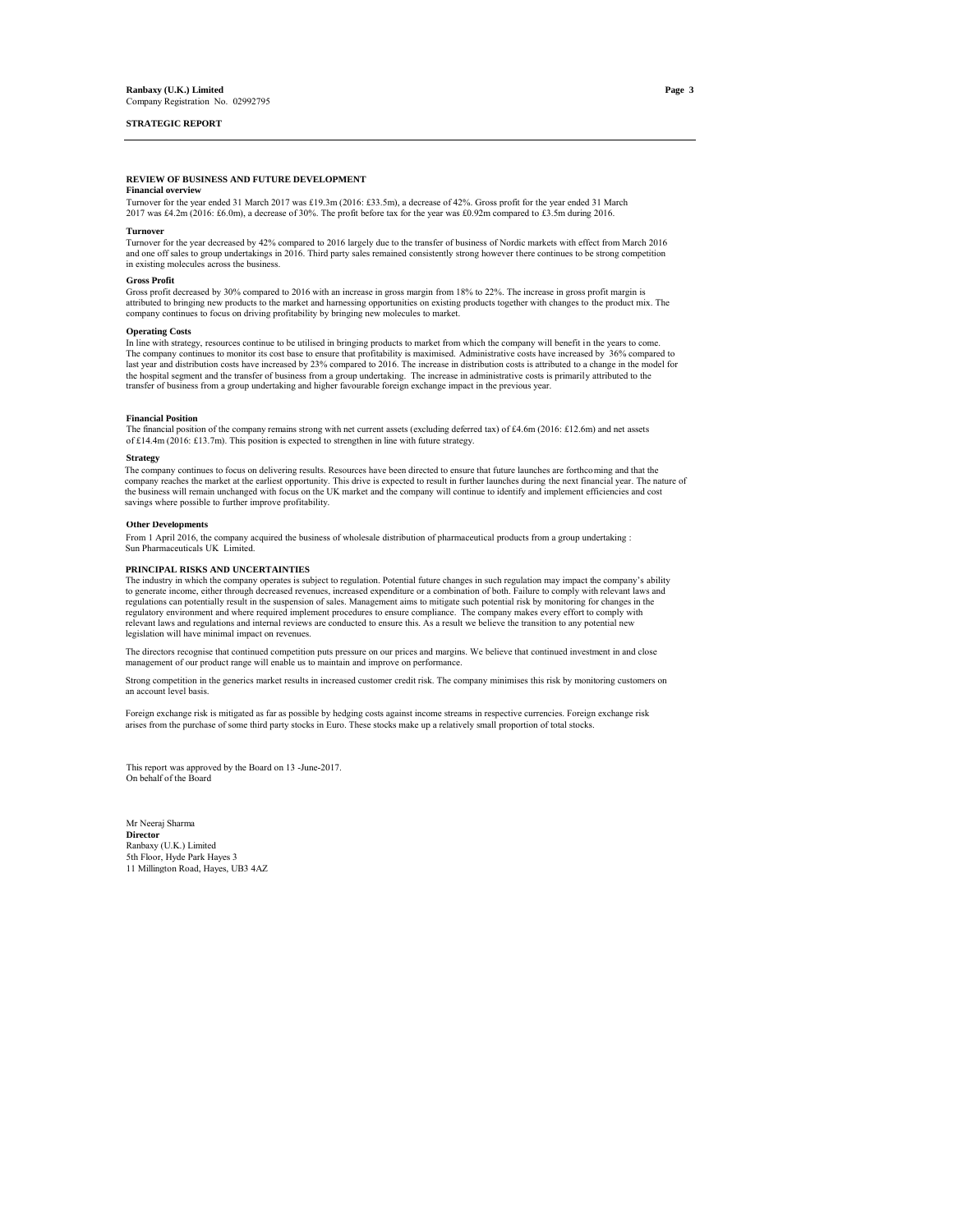## **STRATEGIC REPORT**

## **REVIEW OF BUSINESS AND FUTURE DEVELOPMENT**

#### **Financial overview**

Turnover for the year ended 31 March 2017 was £19.3m (2016: £33.5m), a decrease of 42%. Gross profit for the year ended 31 March 2017 was £4.2m (2016: £6.0m), a decrease of 30%. The profit before tax for the year was £0.92m compared to £3.5m during 2016.

#### **Turnover**

Turnover for the year decreased by 42% compared to 2016 largely due to the transfer of business of Nordic markets with effect from March 2016 and one off sales to group undertakings in 2016. Third party sales remained consistently strong however there continues to be strong competition in existing molecules across the business.

## **Gross Profit**

Gross profit decreased by 30% compared to 2016 with an increase in gross margin from 18% to 22%. The increase in gross profit margin is attributed to bringing new products to the market and harnessing opportunities on existing products together with changes to the product mix. The company continues to focus on driving profitability by bringing new molecules to market.

## **Operating Costs**

In line with strategy, resources continue to be utilised in bringing products to market from which the company will benefit in the years to come.<br>The company continues to monitor its cost base to ensure that profitability last year and distribution costs have increased by 23% compared to 2016. The increase in distribution costs is attributed to a change in the model for the hospital segment and the transfer of business from a group undertaking. The increase in administrative costs is primarily attributed to the<br>transfer of business from a group undertaking and higher favourable foreign ex

#### **Financial Position**

The financial position of the company remains strong with net current assets (excluding deferred tax) of £4.6m (2016: £12.6m) and net assets of £14.4m (2016: £13.7m). This position is expected to strengthen in line with future strategy.

#### **Strategy**

The company continues to focus on delivering results. Resources have been directed to ensure that future launches are forthcoming and that the<br>company reaches the market at the earliest opportunity. This drive is expected the business will remain unchanged with focus on the UK market and the company will continue to identify and implement efficiencies and cost savings where possible to further improve profitability.

#### **Other Developments**

From 1 April 2016, the company acquired the business of wholesale distribution of pharmaceutical products from a group undertaking : Sun Pharmaceuticals UK Limited.

#### **PRINCIPAL RISKS AND UNCERTAINTIES**

The industry in which the company operates is subject to regulation. Potential future changes in such regulation may impact the company's ability to generate income, either through decreased revenues, increased expenditure or a combination of both. Failure to comply with relevant laws and<br>regulations can potentially result in the suspension of sales. Management aims regulatory environment and where required implement procedures to ensure compliance. The company makes every effort to comply with relevant laws and regulations and internal reviews are conducted to ensure this. As a result we believe the transition to any potential new legislation will have minimal impact on revenues.

The directors recognise that continued competition puts pressure on our prices and margins. We believe that continued investment in and close<br>management of our product range will enable us to maintain and improve on perfor

Strong competition in the generics market results in increased customer credit risk. The company minimises this risk by monitoring customers on an account level basis.

Foreign exchange risk is mitigated as far as possible by hedging costs against income streams in respective currencies. Foreign exchange risk arises from the purchase of some third party stocks in Euro. These stocks make up a relatively small proportion of total stocks.

This report was approved by the Board on 13 -June-2017. On behalf of the Board

Mr Neeraj Sharma **Director** Ranbaxy (U.K.) Limited 5th Floor, Hyde Park Hayes 3 11 Millington Road, Hayes, UB3 4AZ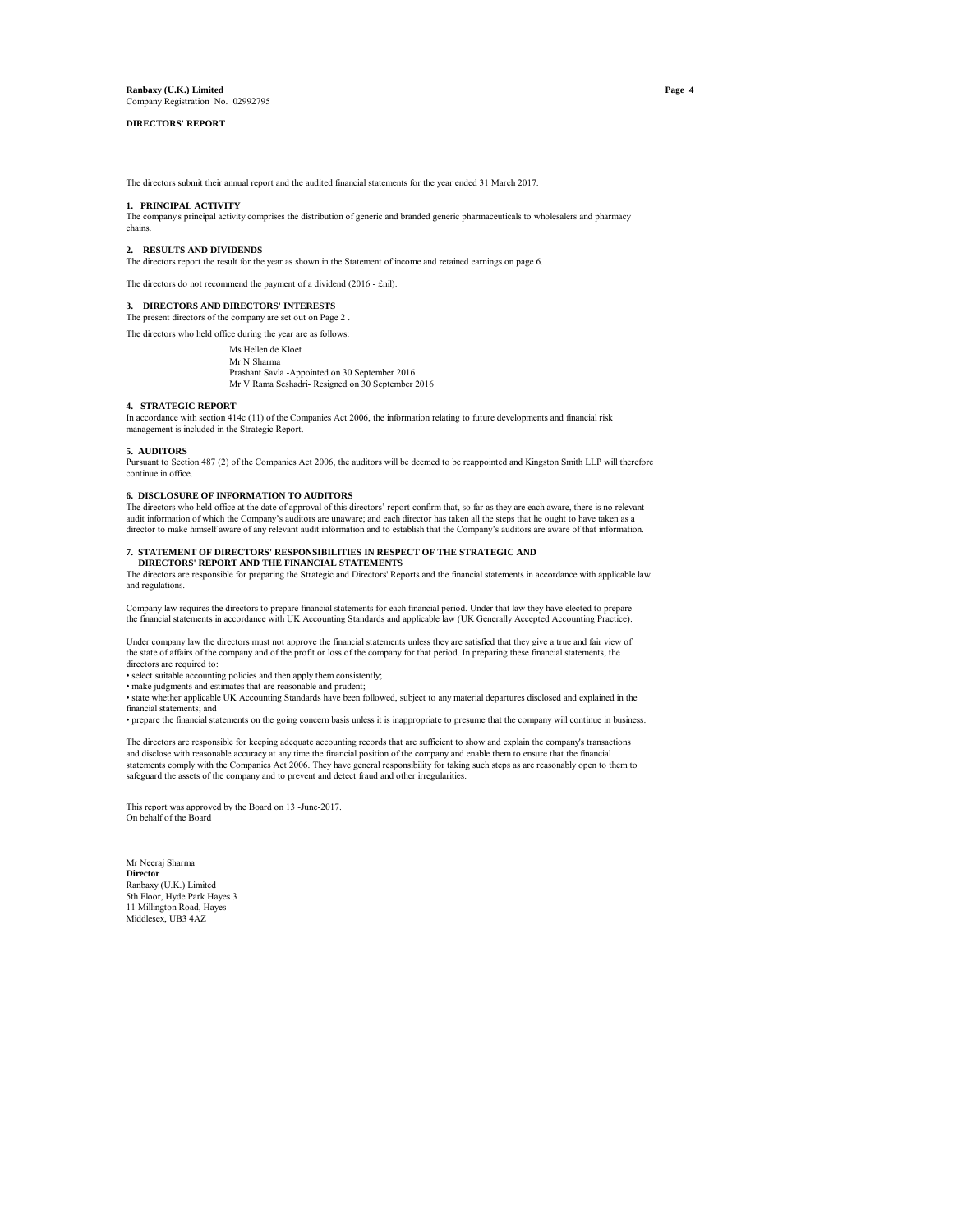## **DIRECTORS' REPORT**

The directors submit their annual report and the audited financial statements for the year ended 31 March 2017.

#### **1. PRINCIPAL ACTIVITY**

The company's principal activity comprises the distribution of generic and branded generic pharmaceuticals to wholesalers and pharmacy chains.

### **2. RESULTS AND DIVIDENDS**

The directors report the result for the year as shown in the Statement of income and retained earnings on page 6.

The directors do not recommend the payment of a dividend (2016 - £nil).

## **3. DIRECTORS AND DIRECTORS' INTERESTS**

The present directors of the company are set out on Page 2 .

The directors who held office during the year are as follows:

Ms Hellen de Kloet Mr N Sharma Prashant Savla -Appointed on 30 September 2016

Mr V Rama Seshadri- Resigned on 30 September 2016

### **4. STRATEGIC REPORT**

In accordance with section 414c (11) of the Companies Act 2006, the information relating to future developments and financial risk management is included in the Strategic Report.

#### **5. AUDITORS**

Pursuant to Section 487 (2) of the Companies Act 2006, the auditors will be deemed to be reappointed and Kingston Smith LLP will therefore continue in office.

#### **6. DISCLOSURE OF INFORMATION TO AUDITORS**

The directors who held office at the date of approval of this directors' report confirm that, so far as they are each aware, there is no relevant<br>audit information of which the Company's auditors are unaware; and each dire director to make himself aware of any relevant audit information and to establish that the Company's auditors are aware of that information.

#### **7. STATEMENT OF DIRECTORS' RESPONSIBILITIES IN RESPECT OF THE STRATEGIC AND**

 **DIRECTORS' REPORT AND THE FINANCIAL STATEMENTS** The directors are responsible for preparing the Strategic and Directors' Reports and the financial statements in accordance with applicable law and regulations.

Company law requires the directors to prepare financial statements for each financial period. Under that law they have elected to prepare the financial statements in accordance with UK Accounting Standards and applicable law (UK Generally Accepted Accounting Practice).

Under company law the directors must not approve the financial statements unless they are satisfied that they give a true and fair view of the state of affairs of the company and of the profit or loss of the company for that period. In preparing these financial statements, the directors are required to:

• select suitable accounting policies and then apply them consistently;

• make judgments and estimates that are reasonable and prudent;

• state whether applicable UK Accounting Standards have been followed, subject to any material departures disclosed and explained in the financial statements; and

• prepare the financial statements on the going concern basis unless it is inappropriate to presume that the company will continue in business.

The directors are responsible for keeping adequate accounting records that are sufficient to show and explain the company's transactions and disclose with reasonable accuracy at any time the financial position of the company and enable them to ensure that the financial<br>statements comply with the Companies Act 2006. They have general responsibility for takin safeguard the assets of the company and to prevent and detect fraud and other irregularities.

This report was approved by the Board on 13 -June-2017. On behalf of the Board

Mr Neeraj Sharma **Director** Ranbaxy (U.K.) Limited 5th Floor, Hyde Park Hayes 3 11 Millington Road, Hayes Middlesex, UB3 4AZ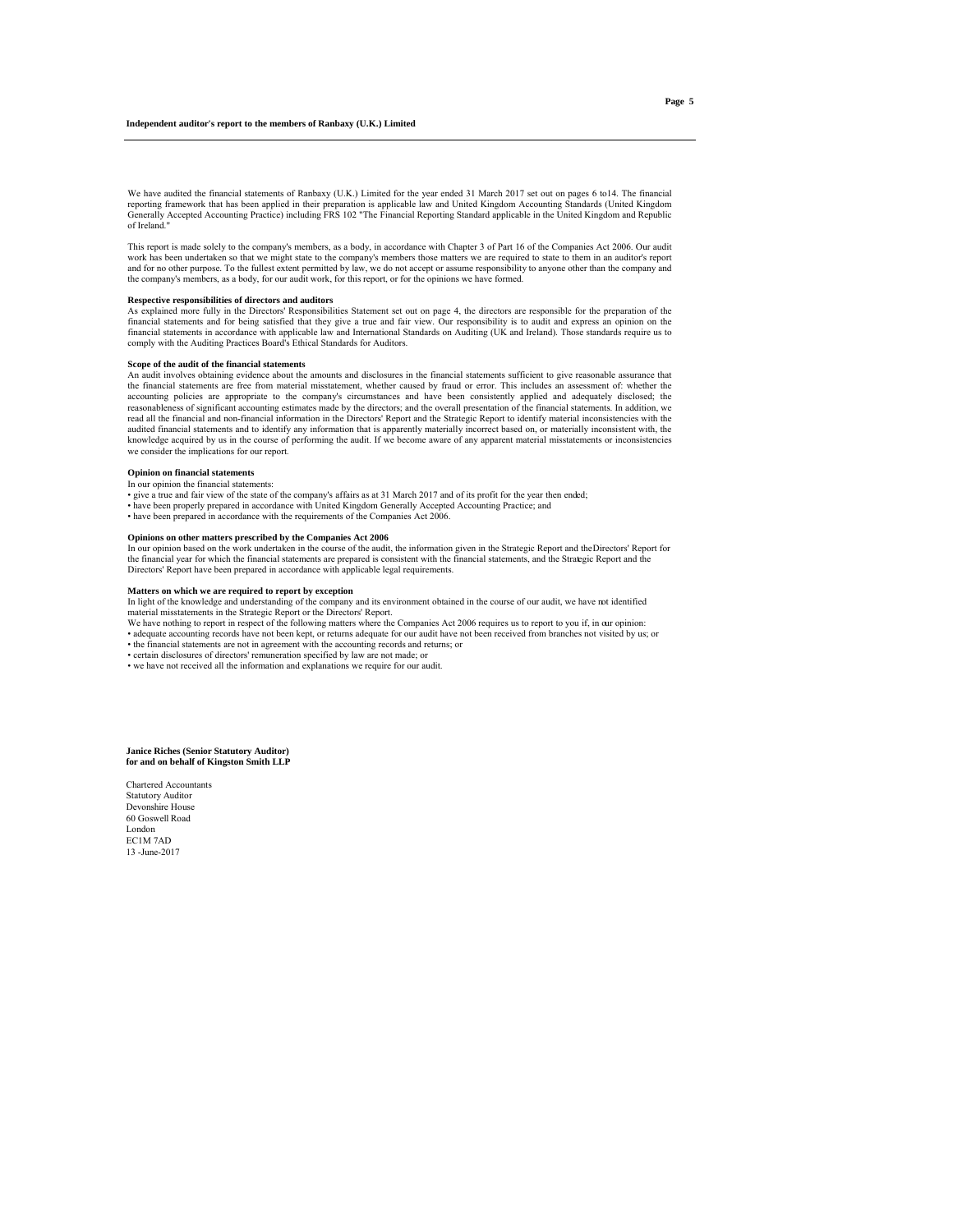We have audited the financial statements of Ranbaxy (U.K.) Limited for the year ended 31 March 2017 set out on pages 6 to14. The financial reporting framework that has been applied in their preparation is applicable law and United Kingdom Accounting Standards (United Kingdom<br>Generally Accepted Accounting Practice) including FRS 102 "The Financial Reporting St of Ireland."

This report is made solely to the company's members, as a body, in accordance with Chapter 3 of Part 16 of the Companies Act 2006. Our audit work has been undertaken so that we might state to the company's members those matters we are required to state to them in an auditor's report and for no other purpose. To the fullest extent permitted by law, we do not accept or assume responsibility to anyone other than the company and<br>the company's members, as a body, for our audit work, for this report, or for

## **Respective responsibilities of directors and auditors**

As explained more fully in the Directors' Responsibilities Statement set out on page 4, the directors are responsible for the preparation of the financial statements and for being satisfied that they give a true and fair view. Our responsibility is to audit and express an opinion on the<br>financial statements in accordance with applicable law and International Standa comply with the Auditing Practices Board's Ethical Standards for Auditors.

## **Scope of the audit of the financial statements**

An audit involves obtaining evidence about the amounts and disclosures in the financial statements sufficient to give reasonable assurance that the financial statements are free from material misstatement, whether caused by fraud or error. This includes an assessment of: whether the accounting policies are appropriate to the company's circumstances and have been consistently applied and adequately disclosed; the<br>reasonableness of significant accounting estimates made by the directors; and the overall read all the financial and non-financial information in the Directors' Report and the Strategic Report to identify material inconsistencies with the audited financial statements and to identify any information that is apparently materially incorrect based on, or materially inconsistent with, the knowledge acquired by us in the course of performing the audit. If we become aware of any apparent material misstatements or inconsistencies we consider the implications for our report.

## **Opinion on financial statements**

In our opinion the financial statements: • give a true and fair view of the state of the company's affairs as at 31 March 2017 and of its profit for the year then ended; • have been properly prepared in accordance with United Kingdom Generally Accepted Accounting Practice; and • have been prepared in accordance with the requirements of the Companies Act 2006.

## **Opinions on other matters prescribed by the Companies Act 2006**

In our opinion based on the work undertaken in the course of the audit, the information given in the Strategic Report and theDirectors' Report for the financial year for which the financial statements are prepared is consistent with the financial statements, and the Strategic Report and the Directors' Report have been prepared in accordance with applicable legal requirements.

## **Matters on which we are required to report by exception**

In light of the knowledge and understanding of the company and its environment obtained in the course of our audit, we have not identified material misstatements in the Strategic Report or the Directors' Report.

We have nothing to report in respect of the following matters where the Companies Act 2006 requires us to report to you if, in our opinion: • adequate accounting records have not been kept, or returns adequate for our audit have not been received from branches not visited by us; or • the financial statements are not in agreement with the accounting records and returns; or

• certain disclosures of directors' remuneration specified by law are not made; or

• we have not received all the information and explanations we require for our audit.

**Janice Riches (Senior Statutory Auditor) for and on behalf of Kingston Smith LLP**

Chartered Accountant Statutory Auditor Devonshire House 60 Goswell Road London EC1M 7AD 13 -June-2017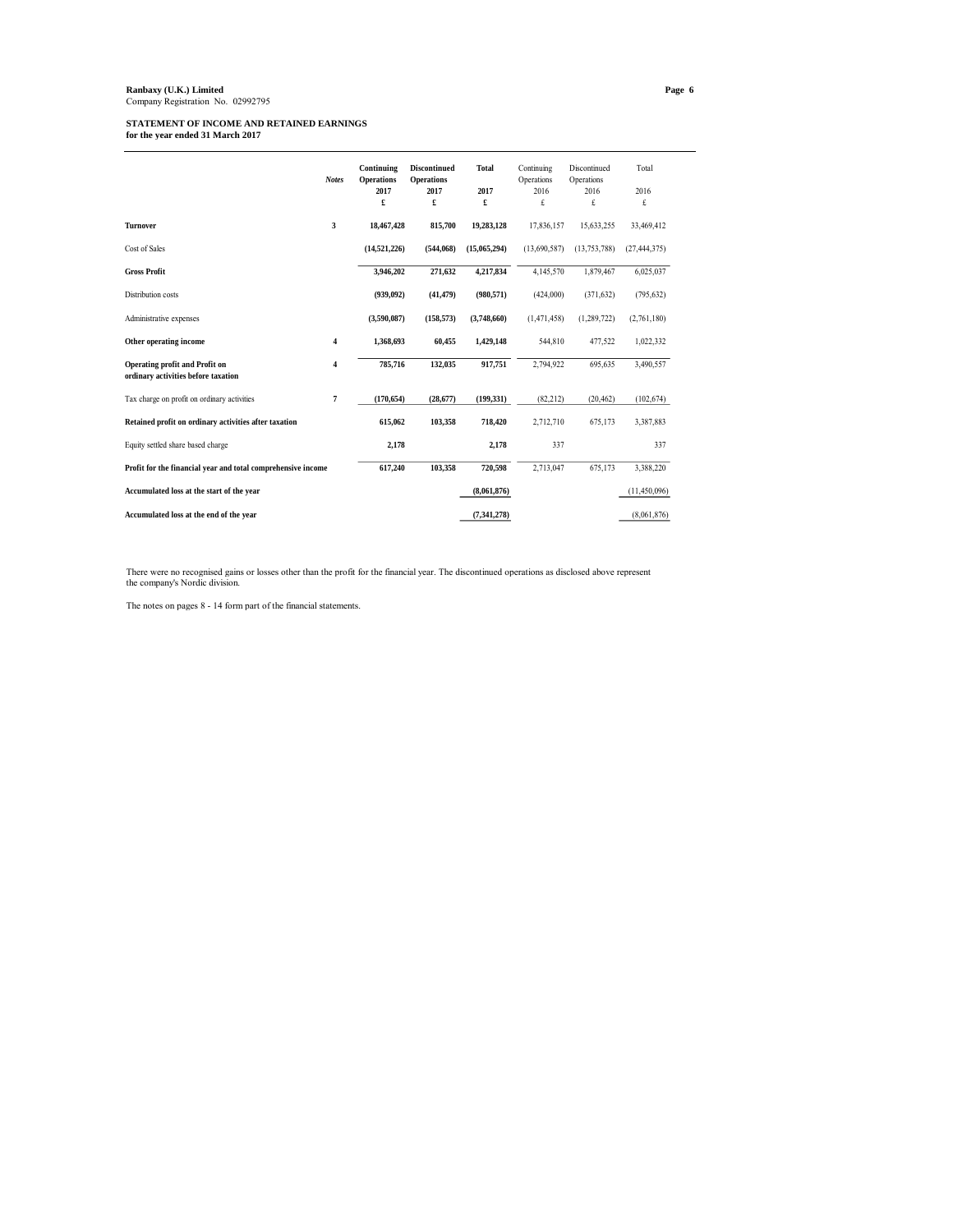## **Ranbaxy (U.K.) Limited Page 6** Company Registration No. 02992795

## **STATEMENT OF INCOME AND RETAINED EARNINGS for the year ended 31 March 2017**

|                                                                       | <b>Notes</b> | Continuing<br><b>Operations</b> | <b>Discontinued</b><br><b>Operations</b> | <b>Total</b>  | Continuing<br>Operations | Discontinued<br>Operations | Total          |
|-----------------------------------------------------------------------|--------------|---------------------------------|------------------------------------------|---------------|--------------------------|----------------------------|----------------|
|                                                                       |              | 2017<br>£                       | 2017<br>£                                | 2017<br>£     | 2016<br>£                | 2016<br>£                  | 2016<br>£      |
| <b>Turnover</b>                                                       | 3            | 18,467,428                      | 815,700                                  | 19,283,128    | 17,836,157               | 15,633,255                 | 33,469,412     |
| Cost of Sales                                                         |              | (14,521,226)                    | (544,068)                                | (15,065,294)  | (13,690,587)             | (13, 753, 788)             | (27, 444, 375) |
| <b>Gross Profit</b>                                                   |              | 3,946,202                       | 271,632                                  | 4,217,834     | 4,145,570                | 1,879,467                  | 6,025,037      |
| Distribution costs                                                    |              | (939, 092)                      | (41, 479)                                | (980, 571)    | (424,000)                | (371, 632)                 | (795, 632)     |
| Administrative expenses                                               |              | (3,590,087)                     | (158, 573)                               | (3,748,660)   | (1,471,458)              | (1, 289, 722)              | (2,761,180)    |
| Other operating income                                                | 4            | 1,368,693                       | 60,455                                   | 1,429,148     | 544,810                  | 477,522                    | 1,022,332      |
| Operating profit and Profit on<br>ordinary activities before taxation | 4            | 785,716                         | 132,035                                  | 917,751       | 2,794,922                | 695,635                    | 3,490,557      |
| Tax charge on profit on ordinary activities                           | 7            | (170, 654)                      | (28, 677)                                | (199, 331)    | (82, 212)                | (20, 462)                  | (102, 674)     |
| Retained profit on ordinary activities after taxation                 |              | 615,062                         | 103,358                                  | 718,420       | 2,712,710                | 675,173                    | 3,387,883      |
| Equity settled share based charge                                     |              | 2,178                           |                                          | 2,178         | 337                      |                            | 337            |
| Profit for the financial year and total comprehensive income          |              | 617,240                         | 103,358                                  | 720,598       | 2,713,047                | 675,173                    | 3,388,220      |
| Accumulated loss at the start of the year                             |              |                                 |                                          | (8,061,876)   |                          |                            | (11, 450, 096) |
| Accumulated loss at the end of the year                               |              |                                 |                                          | (7, 341, 278) |                          |                            | (8,061,876)    |

There were no recognised gains or losses other than the profit for the financial year. The discontinued operations as disclosed above represent the company's Nordic division.

The notes on pages 8 - 14 form part of the financial statements.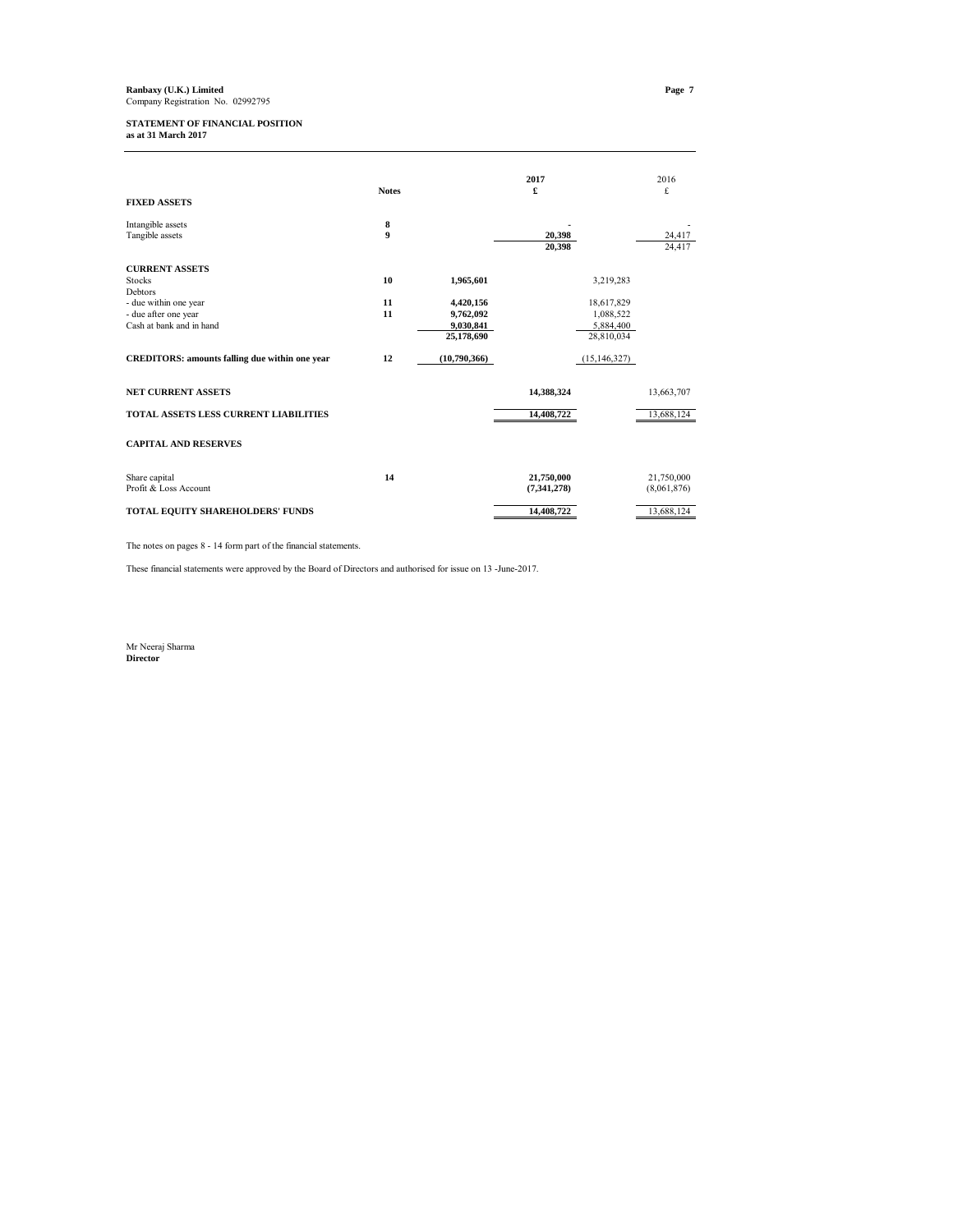## **Ranbaxy (U.K.) Limited Page 7** Company Registration No. 02992795

# **STATEMENT OF FINANCIAL POSITION as at 31 March 2017**

| <b>FIXED ASSETS</b>                                                                                                            | <b>Notes</b>   |                                                                | 2017<br>£                   |                                                                 | 2016<br>£                 |
|--------------------------------------------------------------------------------------------------------------------------------|----------------|----------------------------------------------------------------|-----------------------------|-----------------------------------------------------------------|---------------------------|
| Intangible assets<br>Tangible assets                                                                                           | 8<br>9         |                                                                | 20,398<br>20,398            |                                                                 | 24,417<br>24,417          |
| <b>CURRENT ASSETS</b><br><b>Stocks</b><br>Debtors<br>- due within one year<br>- due after one year<br>Cash at bank and in hand | 10<br>11<br>11 | 1,965,601<br>4,420,156<br>9,762,092<br>9,030,841<br>25,178,690 |                             | 3,219,283<br>18,617,829<br>1,088,522<br>5,884,400<br>28,810,034 |                           |
| <b>CREDITORS:</b> amounts falling due within one year                                                                          | 12             | (10,790,366)                                                   |                             | (15, 146, 327)                                                  |                           |
| <b>NET CURRENT ASSETS</b><br><b>TOTAL ASSETS LESS CURRENT LIABILITIES</b>                                                      |                |                                                                | 14,388,324<br>14,408,722    |                                                                 | 13,663,707<br>13.688.124  |
| <b>CAPITAL AND RESERVES</b>                                                                                                    |                |                                                                |                             |                                                                 |                           |
| Share capital<br>Profit & Loss Account                                                                                         | 14             |                                                                | 21,750,000<br>(7, 341, 278) |                                                                 | 21,750,000<br>(8,061,876) |
| TOTAL EQUITY SHAREHOLDERS' FUNDS                                                                                               |                |                                                                | 14,408,722                  |                                                                 | 13,688,124                |

The notes on pages 8 - 14 form part of the financial statements.

These financial statements were approved by the Board of Directors and authorised for issue on 13 -June-2017.

Mr Neeraj Sharma **Director**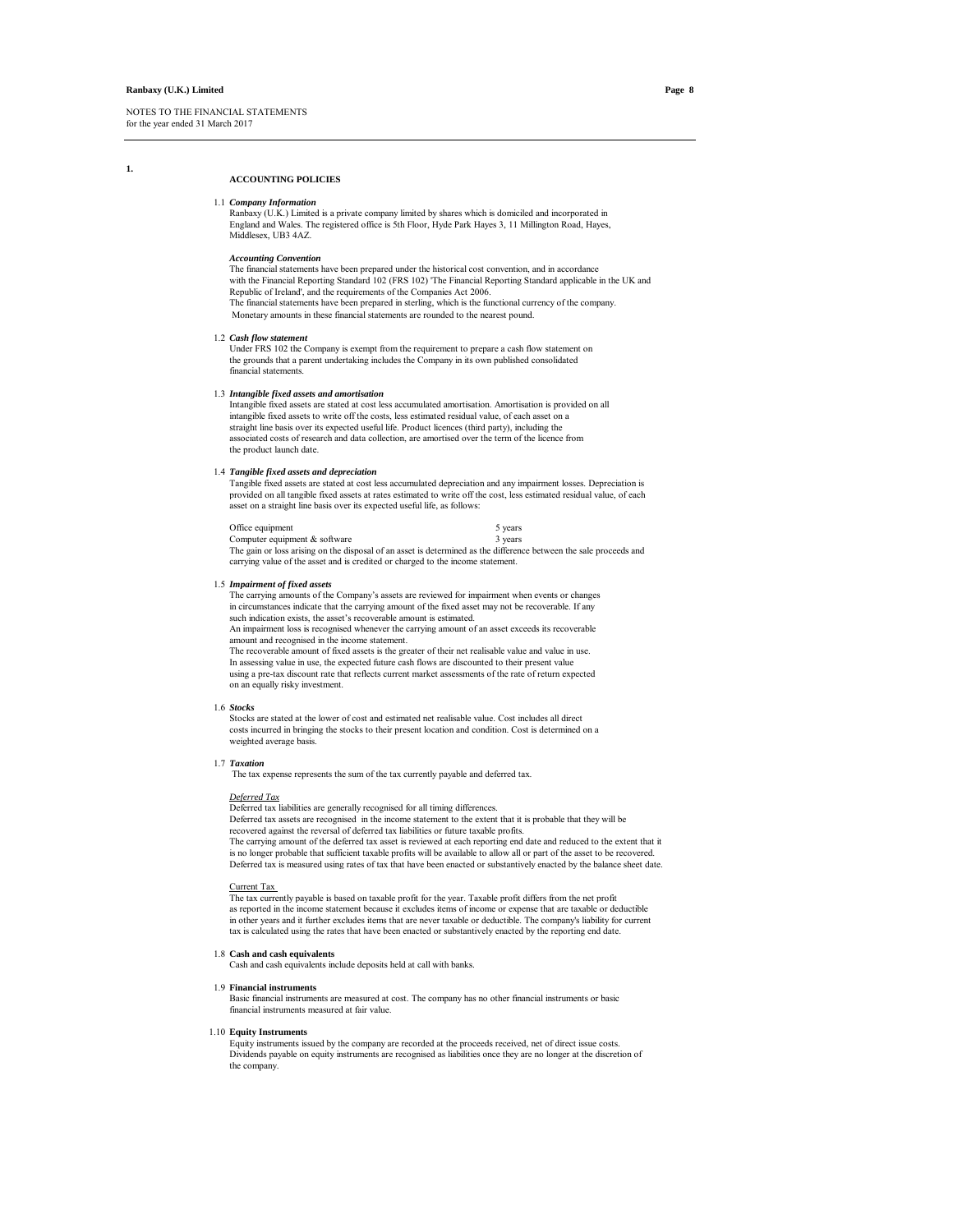NOTES TO THE FINANCIAL STATEMENTS for the year ended 31 March 2017

**1.**

## **ACCOUNTING POLICIES**

## 1.1 *Company Information*

Ranbaxy (U.K.) Limited is a private company limited by shares which is domiciled and incorporated in England and Wales. The registered office is 5th Floor, Hyde Park Hayes 3, 11 Millington Road, Hayes, Middlesex, UB3 4AZ.

#### *Accounting Convention*

The financial statements have been prepared under the historical cost convention, and in accordance with the Financial Reporting Standard 102 (FRS 102) 'The Financial Reporting Standard applicable in the UK and Republic of Ireland', and the requirements of the Companies Act 2006. The financial statements have been prepared in sterling, which is the functional currency of the company.

Monetary amounts in these financial statements are rounded to the nearest pound.

#### 1.2 *Cash flow statement*

Under FRS 102 the Company is exempt from the requirement to prepare a cash flow statement on the grounds that a parent undertaking includes the Company in its own published consolidated financial statements.

### 1.3 *Intangible fixed assets and amortisation*

Intangible fixed assets are stated at cost less accumulated amortisation. Amortisation is provided on all intangible fixed assets to write off the costs, less estimated residual value, of each asset on a straight line basis over its expected useful life. Product licences (third party), including the associated costs of research and data collection, are amortised over the term of the licence from the product launch date.

## 1.4 *Tangible fixed assets and depreciation*

Tangible fixed assets are stated at cost less accumulated depreciation and any impairment losses. Depreciation is provided on all tangible fixed assets at rates estimated to write off the cost, less estimated residual value, of each asset on a straight line basis over its expected useful life, as follows:

Office equipment 5 years 5 years Computer equipment  $&$  software  $3$  years The gain or loss arising on the disposal of an asset is determined as the difference between the sale proceeds and carrying value of the asset and is credited or charged to the income statement.

#### 1.5 *Impairment of fixed assets*

The carrying amounts of the Company's assets are reviewed for impairment when events or changes in circumstances indicate that the carrying amount of the fixed asset may not be recoverable. If any such indication exists, the asset's recoverable amount is estimated.

An impairment loss is recognised whenever the carrying amount of an asset exceeds its recoverable<br>amount and recognised in the income statement nt and recognised in the income statement.

The recoverable amount of fixed assets is the greater of their net realisable value and value in use. In assessing value in use, the expected future cash flows are discounted to their present value using a pre-tax discount rate that reflects current market assessments of the rate of return expected on an equally risky investment.

#### 1.6 *Stocks*

Stocks are stated at the lower of cost and estimated net realisable value. Cost includes all direct costs incurred in bringing the stocks to their present location and condition. Cost is determined on a weighted average basis.

## 1.7 *Taxation*

The tax expense represents the sum of the tax currently payable and deferred tax.

#### *Deferred Tax*

Deferred tax liabilities are generally recognised for all timing differences.

Deferred tax assets are recognised in the income statement to the extent that it is probable that they will be recovered against the reversal of deferred tax liabilities or future taxable profits.

The carrying amount of the deferred tax asset is reviewed at each reporting end date and reduced to the extent that it is no longer probable that sufficient taxable profits will be available to allow all or part of the asset to be recovered. Deferred tax is measured using rates of tax that have been enacted or substantively enacted by the balance sheet date.

#### Current Tax

The tax currently payable is based on taxable profit for the year. Taxable profit differs from the net profit as reported in the income statement because it excludes items of income or expense that are taxable or deductible<br>in other years and it further excludes items that are never taxable or deductible. The company's liability f tax is calculated using the rates that have been enacted or substantively enacted by the reporting end date.

## 1.8 **Cash and cash equivalents**

Cash and cash equivalents include deposits held at call with banks.

#### 1.9 **Financial instruments**

Basic financial instruments are measured at cost. The company has no other financial instruments or basic financial instruments measured at fair value.

#### 1.10 **Equity Instruments**

Equity instruments issued by the company are recorded at the proceeds received, net of direct issue costs. Dividends payable on equity instruments are recognised as liabilities once they are no longer at the discretion of the company.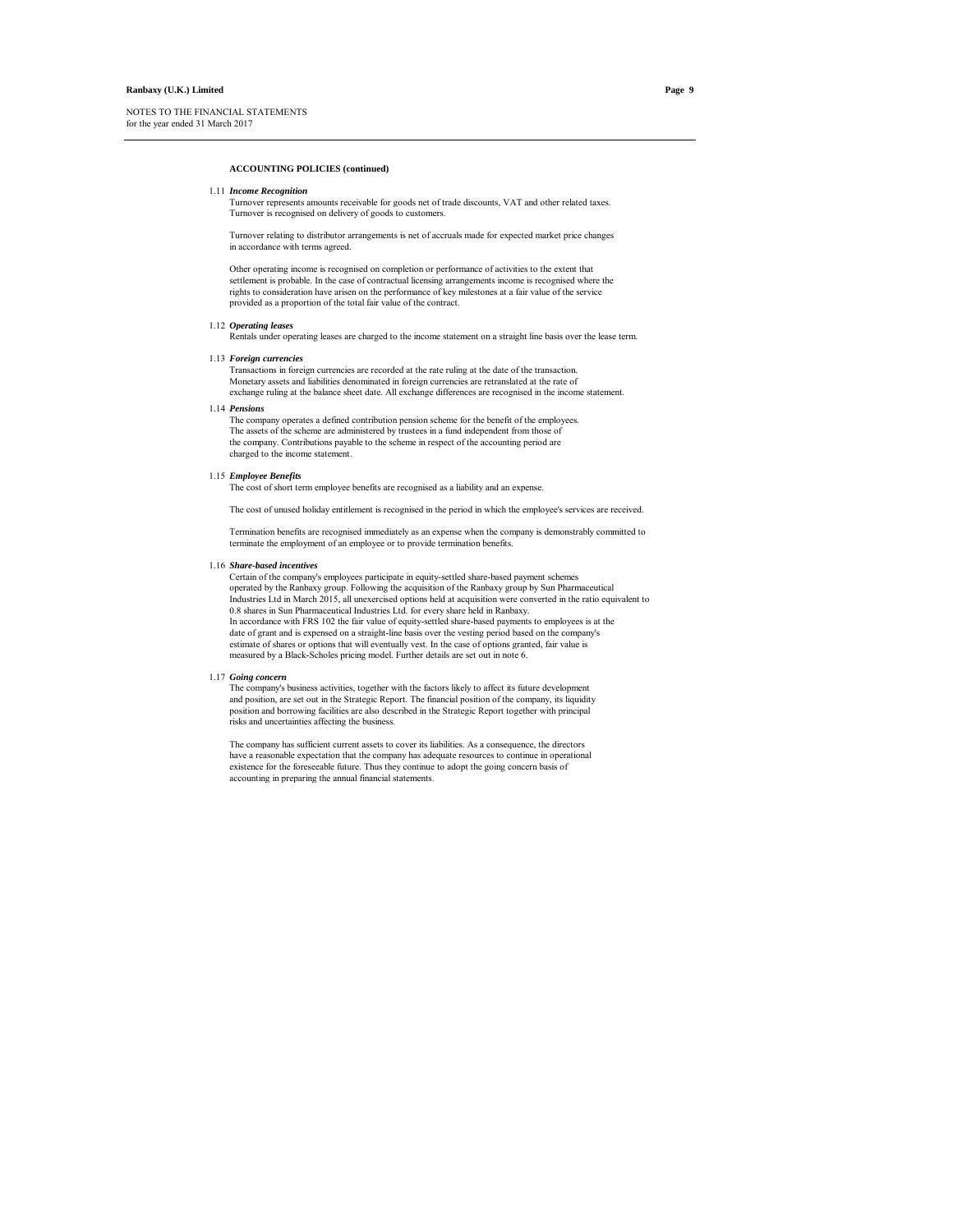NOTES TO THE FINANCIAL STATEMENTS for the year ended 31 March 2017

#### **ACCOUNTING POLICIES (continued)**

#### 1.11 *Income Recognition*

Turnover represents amounts receivable for goods net of trade discounts, VAT and other related taxes. Turnover is recognised on delivery of goods to customers.

Turnover relating to distributor arrangements is net of accruals made for expected market price changes in accordance with terms agreed.

Other operating income is recognised on completion or performance of activities to the extent that settlement is probable. In the case of contractual licensing arrangements income is recognised where the rights to consideration have arisen on the performance of key milestones at a fair value of the service provided as a proportion of the total fair value of the contract.

#### 1.12 *Operating leases*

Rentals under operating leases are charged to the income statement on a straight line basis over the lease term.

## 1.13 *Foreign currencies*

Transactions in foreign currencies are recorded at the rate ruling at the date of the transaction. Monetary assets and liabilities denominated in foreign currencies are retranslated at the rate of exchange ruling at the balance sheet date. All exchange differences are recognised in the income statement.

1.14 *Pensions*

The company operates a defined contribution pension scheme for the benefit of the employees. The assets of the scheme are administered by trustees in a fund independent from those of the company. Contributions payable to the scheme in respect of the accounting period are charged to the income statement.

### 1.15 *Employee Benefits*

The cost of short term employee benefits are recognised as a liability and an expense.

The cost of unused holiday entitlement is recognised in the period in which the employee's services are received.

Termination benefits are recognised immediately as an expense when the company is demonstrably committed to terminate the employment of an employee or to provide termination benefits.

#### 1.16 *Share-based incentives*

Certain of the company's employees participate in equity-settled share-based payment schemes operated by the Ranbaxy group. Following the acquisition of the Ranbaxy group by Sun Pharmaceutical Industries Ltd in March 2015, all unexercised options held at acquisition were converted in the ratio equivalent to 0.8 shares in Sun Pharmaceutical Industries Ltd. for every share held in Ranbaxy. In accordance with FRS 102 the fair value of equity-settled share-based payments to employees is at the date of grant and is expensed on a straight-line basis over the vesting period based on the company's estimate of shares or options that will eventually vest. In the case of options granted, fair value is measured by a Black-Scholes pricing model. Further details are set out in note 6.

### 1.17 *Going concern*

The company's business activities, together with the factors likely to affect its future development and position, are set out in the Strategic Report. The financial position of the company, its liquidity position and borrowing facilities are also described in the Strategic Report together with principal position and borrowing facilities are also described in the Strategic Report together with principal risks and uncertainties affecting the business.

The company has sufficient current assets to cover its liabilities. As a consequence, the directors have a reasonable expectation that the company has adequate resources to continue in operational existence for the foreseeable future. Thus they continue to adopt the going concern basis of accounting in preparing the annual financial statements.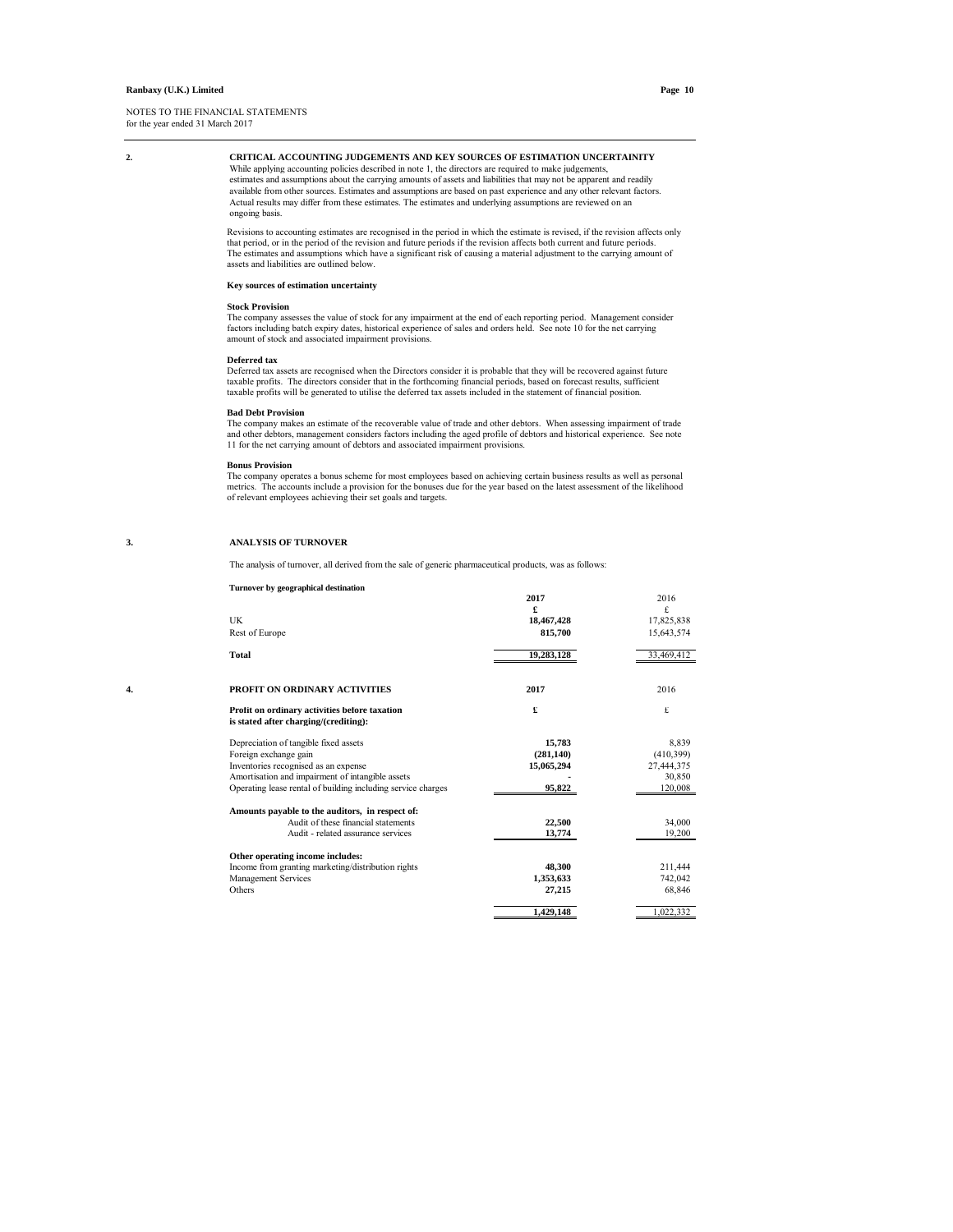NOTES TO THE FINANCIAL STATEMENTS for the year ended 31 March 2017

## **2. CRITICAL ACCOUNTING JUDGEMENTS AND KEY SOURCES OF ESTIMATION UNCERTAINITY**

While applying accounting policies described in note 1, the directors are required to make judgements, estimates and assumptions about the carrying amounts of assets and liabilities that may not be apparent and readily available from other sources. Estimates and assumptions are based on past experience and any other relevant factors. Actual results may differ from these estimates. The estimates and underlying assumptions are reviewed on an ongoing basis.

Revisions to accounting estimates are recognised in the period in which the estimate is revised, if the revision affects only<br>that period, or in the period of the revision and future periods if the revision affects both cu The estimates and assumptions which have a significant risk of causing a material adjustment to the carrying amount of assets and liabilities are outlined below.

#### **Key sources of estimation uncertainty**

## **Stock Provision**

The company assesses the value of stock for any impairment at the end of each reporting period. Management consider<br>factors including batch expiry dates, historical experience of sales and orders held. See note 10 for the amount of stock and associated impairment provisions.

### **Deferred tax**

Deferred tax assets are recognised when the Directors consider it is probable that they will be recovered against future<br>taxable profits. The directors consider that in the forthcoming financial periods, based on forecast taxable profits will be generated to utilise the deferred tax assets included in the statement of financial position.

#### **Bad Debt Provision**

The company makes an estimate of the recoverable value of trade and other debtors. When assessing impairment of trade and other debtors, management considers factors including the aged profile of debtors and historical experience. See note 11 for the net carrying amount of debtors and associated impairment provisions.

### **Bonus Provision**

The company operates a bonus scheme for most employees based on achieving certain business results as well as personal metrics. The accounts include a provision for the bonuses due for the year based on the latest assessment of the likelihood of relevant employees achieving their set goals and targets.

## **3. ANALYSIS OF TURNOVER**

The analysis of turnover, all derived from the sale of generic pharmaceutical products, was as follows:

|    | Turnover by geographical destination                         |            |            |
|----|--------------------------------------------------------------|------------|------------|
|    |                                                              | 2017<br>£  | 2016<br>£. |
|    | UK                                                           | 18,467,428 | 17,825,838 |
|    |                                                              |            |            |
|    | Rest of Europe                                               | 815,700    | 15,643,574 |
|    | <b>Total</b>                                                 | 19,283,128 | 33,469,412 |
| 4. | PROFIT ON ORDINARY ACTIVITIES                                | 2017       | 2016       |
|    | Profit on ordinary activities before taxation                | £          | £          |
|    | is stated after charging/(crediting):                        |            |            |
|    | Depreciation of tangible fixed assets                        | 15,783     | 8,839      |
|    | Foreign exchange gain                                        | (281, 140) | (410,399)  |
|    | Inventories recognised as an expense                         | 15,065,294 | 27,444,375 |
|    | Amortisation and impairment of intangible assets             |            | 30,850     |
|    | Operating lease rental of building including service charges | 95,822     | 120,008    |
|    | Amounts payable to the auditors, in respect of:              |            |            |
|    | Audit of these financial statements                          | 22,500     | 34,000     |
|    | Audit - related assurance services                           | 13,774     | 19,200     |
|    | Other operating income includes:                             |            |            |
|    | Income from granting marketing/distribution rights           | 48,300     | 211,444    |
|    | <b>Management Services</b>                                   | 1,353,633  | 742,042    |
|    | Others                                                       | 27,215     | 68,846     |
|    |                                                              | 1,429,148  | ,022,332   |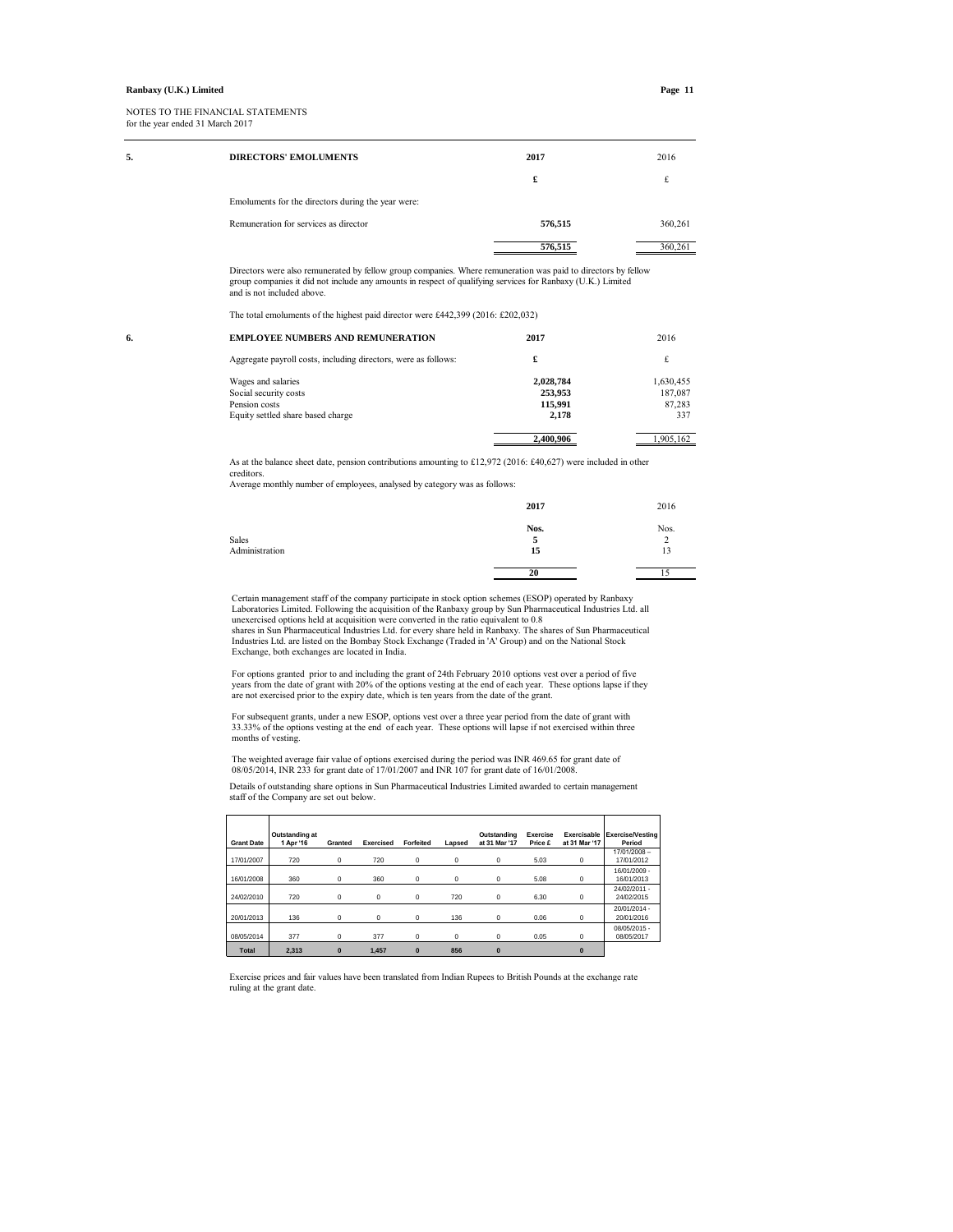NOTES TO THE FINANCIAL STATEMENTS for the year ended 31 March 2017

| 5. | <b>DIRECTORS' EMOLUMENTS</b>                       | 2017    | 2016    |
|----|----------------------------------------------------|---------|---------|
|    |                                                    | £       | £       |
|    | Emoluments for the directors during the year were: |         |         |
|    | Remuneration for services as director              | 576,515 | 360,261 |
|    |                                                    | 576,515 | 360,261 |

Directors were also remunerated by fellow group companies. Where remuneration was paid to directors by fellow group companies it did not include any amounts in respect of qualifying services for Ranbaxy (U.K.) Limited and is not included above.

The total emoluments of the highest paid director were £442,399 (2016: £202,032)

| 6. | <b>EMPLOYEE NUMBERS AND REMUNERATION</b>                       | 2017      | 2016      |
|----|----------------------------------------------------------------|-----------|-----------|
|    | Aggregate payroll costs, including directors, were as follows: | £         |           |
|    | Wages and salaries                                             | 2,028,784 | 1,630,455 |
|    | Social security costs                                          | 253,953   | 187,087   |
|    | Pension costs                                                  | 115,991   | 87,283    |
|    | Equity settled share based charge                              | 2.178     | 337       |
|    |                                                                | 2.400.906 | 1.905.162 |

As at the balance sheet date, pension contributions amounting to £12,972 (2016: £40,627) were included in other creditors.

Average monthly number of employees, analysed by category was as follows:

|                | 2017 | 2016   |
|----------------|------|--------|
|                | Nos. | Nos.   |
| <b>Sales</b>   |      | C<br>∠ |
| Administration | 15   | 13     |
|                | 20   |        |

Certain management staff of the company participate in stock option schemes (ESOP) operated by Ranbaxy<br>Laboratories Limited. Following the acquisition of the Ranbaxy group by Sun Pharmaceutical Industries Ltd. all<br>unexerci

Industries Ltd. are listed on the Bombay Stock Exchange (Traded in 'A' Group) and on the National Stock Exchange, both exchanges are located in India.

For options granted prior to and including the grant of 24th February 2010 options vest over a period of five years from the date of grant with 20% of the options vesting at the end of each year. These options lapse if they are not exercised prior to the expiry date, which is ten years from the date of the grant.

For subsequent grants, under a new ESOP, options vest over a three year period from the date of grant with 33.33% of the options vesting at the end of each year. These options will lapse if not exercised within three months of vesting.

The weighted average fair value of options exercised during the period was INR 469.65 for grant date of 08/05/2014, INR 233 for grant date of 17/01/2007 and INR 107 for grant date of 16/01/2008.

Details of outstanding share options in Sun Pharmaceutical Industries Limited awarded to certain management staff of the Company are set out below.

| <b>Grant Date</b> | Outstanding at<br>1 Apr '16 | Granted  | <b>Exercised</b> | <b>Forfeited</b> | Lapsed      | Outstanding<br>at 31 Mar '17 | <b>Exercise</b><br>Price £ | Exercisable<br>at 31 Mar '17 | <b>Exercise/Vesting</b><br>Period |
|-------------------|-----------------------------|----------|------------------|------------------|-------------|------------------------------|----------------------------|------------------------------|-----------------------------------|
| 17/01/2007        | 720                         | 0        | 720              | $\mathbf 0$      | $\mathbf 0$ | $\mathbf 0$                  | 5.03                       | 0                            | 17/01/2008-<br>17/01/2012         |
| 16/01/2008        | 360                         | 0        | 360              | $\mathbf 0$      | 0           | 0                            | 5.08                       | 0                            | 16/01/2009 -<br>16/01/2013        |
| 24/02/2010        | 720                         | 0        | $\mathbf 0$      | $\mathbf 0$      | 720         | $\mathbf 0$                  | 6.30                       | $\mathbf 0$                  | 24/02/2011 -<br>24/02/2015        |
| 20/01/2013        | 136                         | 0        | $\mathbf 0$      | $\mathbf 0$      | 136         | 0                            | 0.06                       | 0                            | 20/01/2014 -<br>20/01/2016        |
| 08/05/2014        | 377                         | 0        | 377              | $\mathbf 0$      | $\mathbf 0$ | $\mathbf 0$                  | 0.05                       | 0                            | 08/05/2015 -<br>08/05/2017        |
| <b>Total</b>      | 2.313                       | $\bf{0}$ | 1,457            | $\bf{0}$         | 856         | $\bf{0}$                     |                            | $\bf{0}$                     |                                   |

Exercise prices and fair values have been translated from Indian Rupees to British Pounds at the exchange rate ruling at the grant date.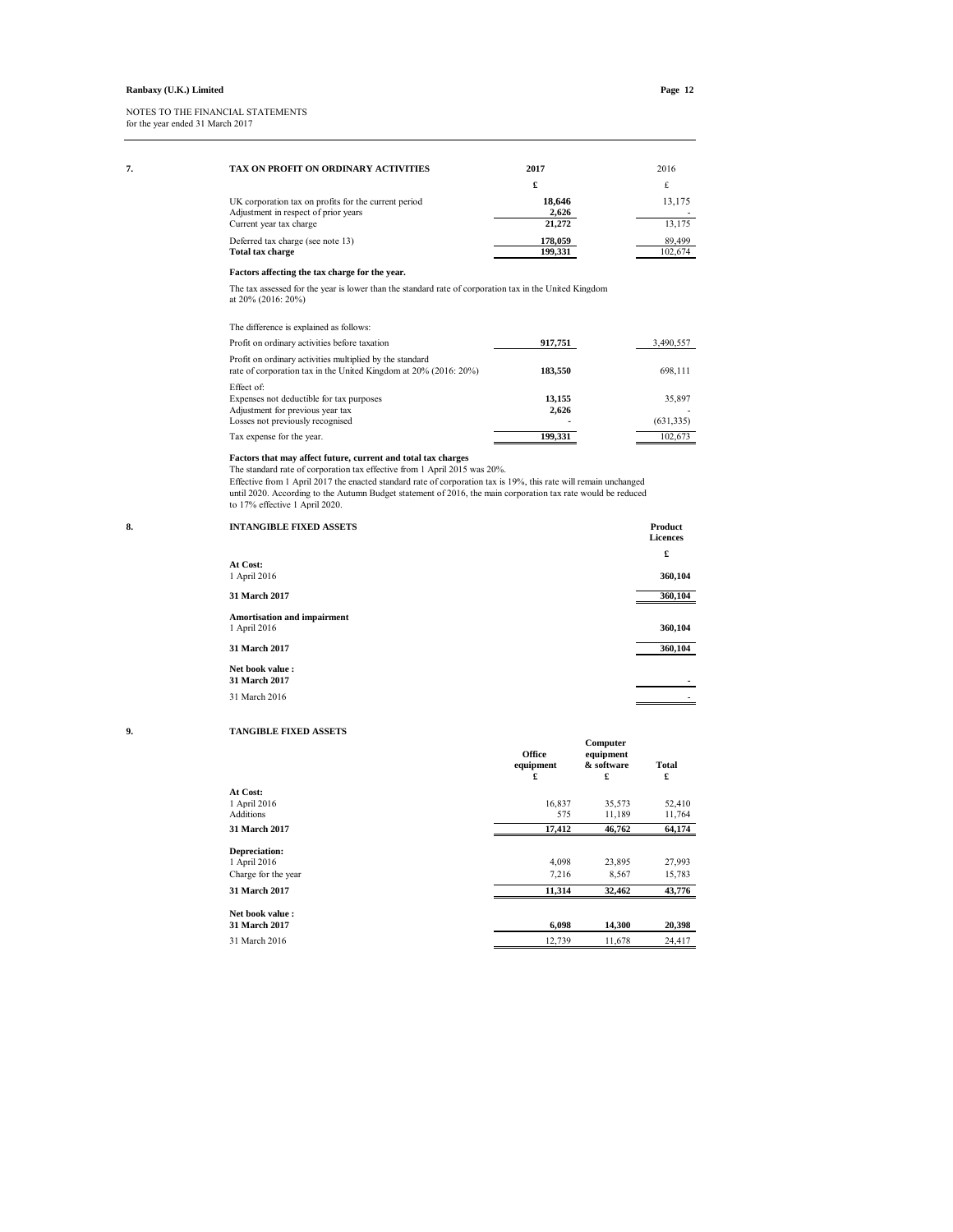NOTES TO THE FINANCIAL STATEMENTS for the year ended 31 March 2017

| TAX ON PROFIT ON ORDINARY ACTIVITIES                                                         | 2017               | 2016              |
|----------------------------------------------------------------------------------------------|--------------------|-------------------|
|                                                                                              |                    | £                 |
| UK corporation tax on profits for the current period<br>Adjustment in respect of prior years | 18,646<br>2,626    | 13.175            |
| Current year tax charge                                                                      | 21,272             | 13.175            |
| Deferred tax charge (see note 13)<br>Total tax charge                                        | 178.059<br>199,331 | 89,499<br>102,674 |

## **Factors affecting the tax charge for the year.**

The tax assessed for the year is lower than the standard rate of corporation tax in the United Kingdom at 20% (2016: 20%)

| The difference is explained as follows:                                                                                        |                      |                      |
|--------------------------------------------------------------------------------------------------------------------------------|----------------------|----------------------|
| Profit on ordinary activities before taxation                                                                                  | 917,751              | 3,490,557            |
| Profit on ordinary activities multiplied by the standard<br>rate of corporation tax in the United Kingdom at 20% (2016: 20%)   | 183.550              | 698,111              |
| Effect of:<br>Expenses not deductible for tax purposes<br>Adjustment for previous year tax<br>Losses not previously recognised | 13.155<br>2.626<br>٠ | 35,897<br>(631, 335) |
| Tax expense for the year.                                                                                                      | 199.331              | 102.673              |

## **Factors that may affect future, current and total tax charges** The standard rate of corporation tax effective from 1 April 2015 was 20%.

Effective from 1 April 2017 the enacted standard rate of corporation tax is 19%, this rate will remain unchanged<br>until 2020. According to the Autumn Budget statement of 2016, the main corporation tax rate would be reduced<br>

| 8. | <b>INTANGIBLE FIXED ASSETS</b> | Product<br><b>Licences</b> |
|----|--------------------------------|----------------------------|
|    |                                | £                          |
|    | At Cost:                       |                            |
|    | 1 April 2016                   | 360,104                    |
|    | 31 March 2017                  | 360,104                    |
|    | Amortisation and impairment    |                            |
|    | 1 April 2016                   | 360,104                    |
|    | 31 March 2017                  | 360,104                    |
|    | Net book value:                |                            |
|    | 31 March 2017                  | ٠                          |
|    | 31 March 2016                  | $\overline{\phantom{0}}$   |

### **9. TANGIBLE FIXED ASSETS**

|                      | Office<br>equipment<br>£ | Computer<br>equipment<br>& software<br>£ | <b>Total</b><br>£ |
|----------------------|--------------------------|------------------------------------------|-------------------|
| At Cost:             |                          |                                          |                   |
| 1 April 2016         | 16,837                   | 35,573                                   | 52,410            |
| <b>Additions</b>     | 575                      | 11,189                                   | 11,764            |
| 31 March 2017        | 17,412                   | 46,762                                   | 64,174            |
| <b>Depreciation:</b> |                          |                                          |                   |
| 1 April 2016         | 4,098                    | 23,895                                   | 27,993            |
| Charge for the year  | 7,216                    | 8,567                                    | 15,783            |
| 31 March 2017        | 11,314                   | 32,462                                   | 43,776            |
| Net book value:      |                          |                                          |                   |
| 31 March 2017        | 6,098                    | 14,300                                   | 20,398            |
| 31 March 2016        | 12,739                   | 11,678                                   | 24,417            |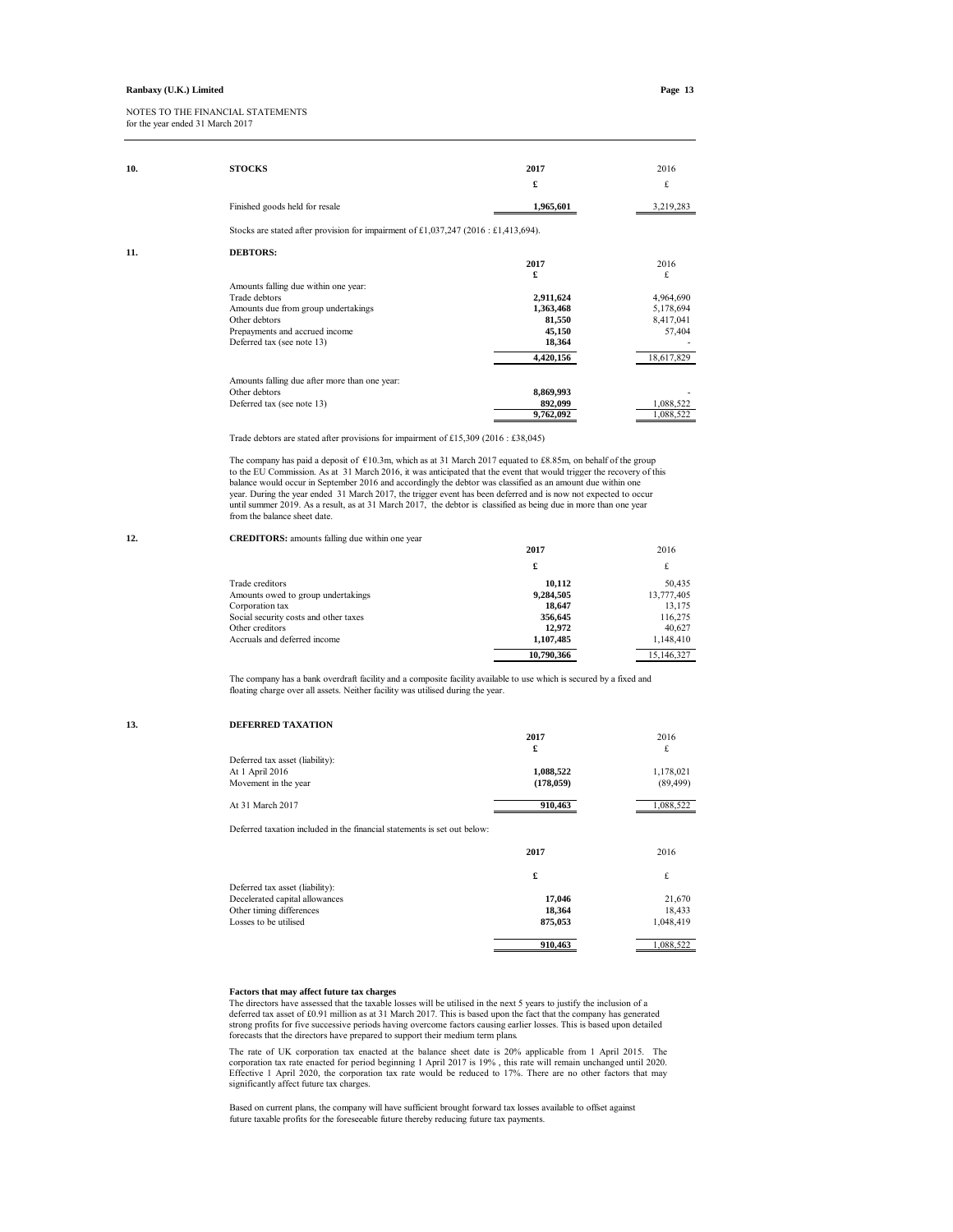NOTES TO THE FINANCIAL STATEMENTS for the year ended 31 March 2017

| 10. | <b>STOCKS</b>                                                                       | 2017      | 2016       |
|-----|-------------------------------------------------------------------------------------|-----------|------------|
|     |                                                                                     | £         | £          |
|     | Finished goods held for resale                                                      | 1,965,601 | 3,219,283  |
|     | Stocks are stated after provision for impairment of £1,037,247 (2016 : £1,413,694). |           |            |
| 11. | <b>DEBTORS:</b>                                                                     |           |            |
|     |                                                                                     | 2017      | 2016       |
|     |                                                                                     | £         | £          |
|     | Amounts falling due within one year:                                                |           |            |
|     | Trade debtors                                                                       | 2,911,624 | 4,964,690  |
|     | Amounts due from group undertakings                                                 | 1,363,468 | 5,178,694  |
|     | Other debtors                                                                       | 81,550    | 8,417,041  |
|     | Prepayments and accrued income                                                      | 45,150    | 57,404     |
|     | Deferred tax (see note 13)                                                          | 18,364    |            |
|     |                                                                                     | 4,420,156 | 18,617,829 |
|     | Amounts falling due after more than one year:                                       |           |            |
|     | Other debtors                                                                       | 8,869,993 |            |
|     | Deferred tax (see note 13)                                                          | 892,099   | 1,088,522  |
|     |                                                                                     | 9,762,092 | 1,088,522  |

Trade debtors are stated after provisions for impairment of £15,309 (2016 : £38,045)

The company has paid a deposit of €10.3m, which as at 31 March 2017 equated to £8.85m, on behalf of the group to the EU Commission. As at 31 March 2016, it was anticipated that the event that would trigger the recovery of this balance would occur in September 2016 and accordingly the debtor was classified as an amount due within one<br>year. During the year ended 31 March 2017, the trigger event has been deferred and is now not expected to occur<br>un from the balance sheet date.

## **12. CREDITORS:** amounts falling due within one year

|                                       | 2017       | 2016       |
|---------------------------------------|------------|------------|
|                                       | £          | £          |
| Trade creditors                       | 10.112     | 50.435     |
| Amounts owed to group undertakings    | 9.284.505  | 13,777,405 |
| Corporation tax                       | 18.647     | 13.175     |
| Social security costs and other taxes | 356.645    | 116,275    |
| Other creditors                       | 12,972     | 40.627     |
| Accruals and deferred income          | 1.107.485  | 1.148.410  |
|                                       | 10,790,366 | 15.146.327 |

The company has a bank overdraft facility and a composite facility available to use which is secured by a fixed and floating charge over all assets. Neither facility was utilised during the year.

## **13. DEFERRED TAXATION**

|                                                                          | 2017       | 2016      |
|--------------------------------------------------------------------------|------------|-----------|
|                                                                          | £          | £         |
| Deferred tax asset (liability):                                          |            |           |
| At 1 April 2016                                                          | 1,088,522  | 1,178,021 |
| Movement in the year                                                     | (178, 059) | (89, 499) |
| At 31 March 2017                                                         | 910,463    | 1,088,522 |
| Deferred taxation included in the financial statements is set out below: |            |           |
|                                                                          | 2017       | 2016      |
|                                                                          | £          | £         |
| Deferred tax asset (liability):                                          |            |           |
| Decelerated capital allowances                                           | 17,046     | 21,670    |
| Other timing differences                                                 | 18,364     | 18,433    |
| Losses to be utilised                                                    | 875,053    | 1,048,419 |
|                                                                          | 910,463    | 1,088,522 |

**Factors that may affect future tax charges** The directors have assessed that the taxable losses will be utilised in the next 5 years to justify the inclusion of a deferred tax asset of £0.91 million as at 31 March 2017. This is based upon the fact that the company has generated strong profits for five successive periods having overcome factors causing earlier losses. This is based upon detailed forecasts that the directors have prepared to support their medium term plans.

The rate of UK corporation tax enacted at the balance sheet date is 20% applicable from 1 April 2015. The corporation tax rate enacted for period beginning 1 April 2017 is 19% , this rate will remain unchanged until 2020.<br>Effective 1 April 2020, the corporation tax rate would be reduced to 17%. There are no other factors that

Based on current plans, the company will have sufficient brought forward tax losses available to offset against future taxable profits for the foreseeable future thereby reducing future tax payments.